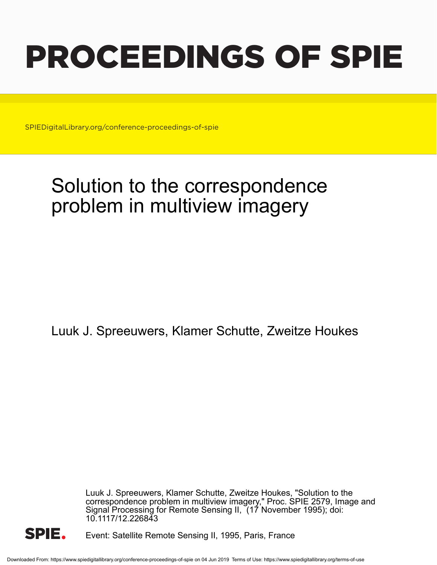# PROCEEDINGS OF SPIE

SPIEDigitalLibrary.org/conference-proceedings-of-spie

# Solution to the correspondence problem in multiview imagery

Luuk J. Spreeuwers, Klamer Schutte, Zweitze Houkes

Luuk J. Spreeuwers, Klamer Schutte, Zweitze Houkes, "Solution to the correspondence problem in multiview imagery," Proc. SPIE 2579, Image and Signal Processing for Remote Sensing II, (17 November 1995); doi: 10.1117/12.226843



Event: Satellite Remote Sensing II, 1995, Paris, France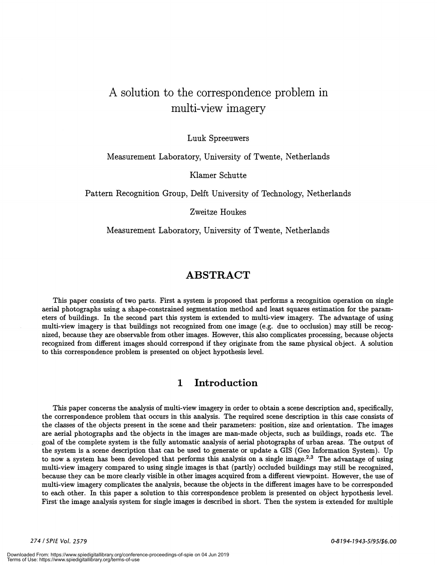# A solution to the correspondence problem in multi-view imagery

Luuk Spreeuwers

#### Measurement Laboratory, University of Twente, Netherlands

Kiamer Schutte

Pattern Recognition Group, Deift University of Technology, Netherlands

Zweitze Houkes

Measurement Laboratory, University of Twente, Netherlands

### ABSTRACT

This paper consists of two parts. First a system is proposed that performs a recognition operation on single aerial photographs using a shape-constrained segmentation method and least squares estimation for the parameters of buildings. In the second part this system is extended to multi-view imagery. The advantage of using multi-view imagery is that buildings not recognized from one image (e.g. due to occlusion) may still be recognized, because they are observable from other images. However, this also complicates processing, because objects recognized from different images should correspond if they originate from the same physical object. A solution to this correspondence problem is presented on object hypothesis level.

#### 1 Introduction

This paper concerns the analysis of multi-view imagery in order to obtain a scene description and, specifically, the correspondence problem that occurs in this analysis. The required scene description in this case consists of the classes of the objects present in the scene and their parameters: position, size and orientation. The images are aerial photographs and the objects in the images are man-made objects, such as buildings, roads etc. The goal of the complete system is the fully automatic analysis of aerial photographs of urban areas. The output of the system is a scene description that can be used to generate or update a GIS (Geo Information System). Up to now a system has been developed that performs this analysis on a single image.<sup>2,3</sup> The advantage of using multi-view imagery compared to using single images is that (partly) occluded buildings may still be recognized, because they can be more clearly visible in other images acquired from a different viewpoint. However, the use of multi-view imagery complicates the analysis, because the objects in the different images have to be corresponded to each other. In this paper a solution to this correspondence problem is presented on object hypothesis level. First the image analysis system for single images is described in short. Then the system is extended for multiple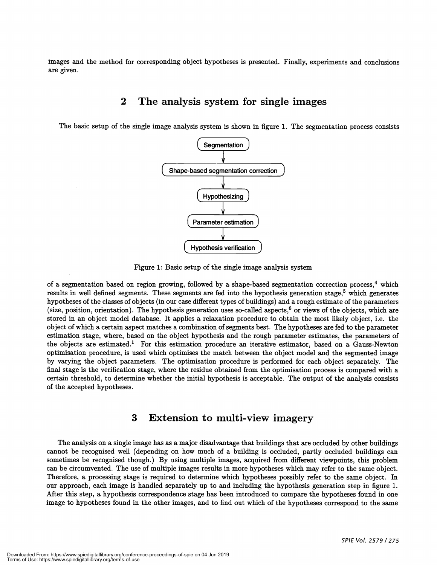images and the method for corresponding object hypotheses is presented. Finally, experiments and conclusions are given.

#### 2 The analysis system for single images

The basic setup of the single image analysis system is shown in figure 1. The segmentation process consists



Figure 1: Basic setup of the single image analysis system

of a segmentation based on region growing, followed by a shape-based segmentation correction process.<sup>4</sup> which results in well defined segments. These segments are fed into the hypothesis generation stage, $5$  which generates hypotheses of the classes of objects (in our case different types of buildings) and a rough estimate of the parameters (size, position, orientation). The hypothesis generation uses so-called aspects, $6$  or views of the objects, which are stored in an object model database. It applies a relaxation procedure to obtain the most likely object, i.e. the object of which a certain aspect matches a combination of segments best. The hypotheses are fed to the parameter estimation stage, where, based on the object hypothesis and the rough parameter estimates, the parameters of the objects are estimated.' For this estimation procedure an iterative estimator, based on a Gauss-Newton optimisation procedure, is used which optimises the match between the object model and the segmented image by varying the object parameters. The optimisation procedure is performed for each object separately. The final stage is the verification stage, where the residue obtained from the optimisation process is compared with a certain threshold, to determine whether the initial hypothesis is acceptable. The output of the analysis consists of the accepted hypotheses.

## 3 Extension to multi-view imagery

The analysis on a single image has as a major disadvantage that buildings that are occluded by other buildings cannot be recognised well (depending on how much of a building is occluded, partly occluded buildings can sometimes be recognised though.) By using multiple images, acquired from different viewpoints, this problem can be circumvented. The use of multiple images results in more hypotheses which may refer to the same object. Therefore, a processing stage is required to determine which hypotheses possibly refer to the same object. In our approach, each image is handled separately up to and including the hypothesis generation step in figure 1. After this step, a hypothesis correspondence stage has been introduced to compare the hypotheses found in one image to hypotheses found in the other images, and to find out which of the hypotheses correspond to the same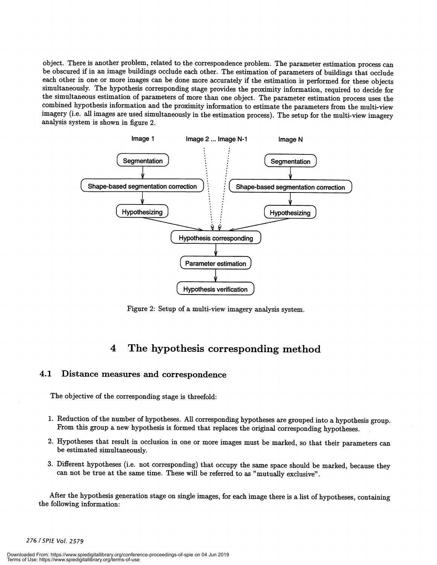object. There is another problem, related to the correspondence problem. The parameter estimation process can be obscured if in an image buildings occlude each other. The estimation of parameters of buildings that occlude each other in one or more images can be done more accurately if the estimation is performed for these objects simultaneously. The hypothesis corresponding stage provides the proximity information, required to decide for the simultaneous estimation of parameters of more than one object. The parameter estimation process uses the combined hypothesis information and the proximity information to estimate the parameters from the multi-view imagery (i.e. all images are used simultaneously in the estimation process). The setup for the multi-view imagery analysis system is shown in figure 2.



Figure 2: Setup of a multi-view imagery analysis system.

# 4 The hypothesis corresponding method

#### 4.1 Distance measures and correspondence

The objective of the corresponding stage is threefold:

- 1. Reduction of the number of hypotheses. All corresponding hypotheses are grouped into a hypothesis group. From this group a new hypothesis is formed that replaces the original corresponding hypotheses.
- 2. Hypotheses that result in occlusion in one or more images must be marked, so that their parameters can be estimated simultaneously.
- 3. Different hypotheses (i.e. not corresponding) that occupy the same space should be marked, because they can not be true at the same time. These will be referred to as "mutually exclusive".

After the hypothesis generation stage on single images, for each image there is a list of hypotheses, containing the following information:

#### 276 ISPIE Vol. 2579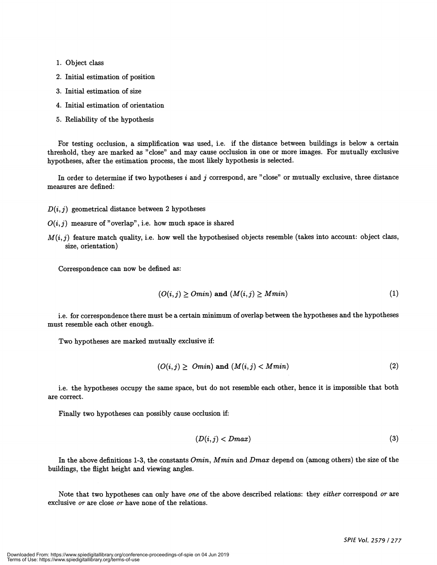- 1. Object class
- 2. Initial estimation of position
- 3. Initial estimation of size
- 4. Initial estimation of orientation
- 5. Reliability of the hypothesis

For testing occlusion, a simplification was used, i.e. if the distance between buildings is below a certain threshold, they are marked as "close" and may cause occlusion in one or more images. For mutually exclusive hypotheses, after the estimation process, the most likely hypothesis is selected.

In order to determine if two hypotheses i and j correspond, are "close" or mutually exclusive, three distance measures are defined:

- $D(i, j)$  geometrical distance between 2 hypotheses
- $O(i, j)$  measure of "overlap", i.e. how much space is shared
- $M(i, j)$  feature match quality, i.e. how well the hypothesised objects resemble (takes into account: object class, size, orientation)

Correspondence can now be defined as:

$$
(O(i,j) \geq Omin) \text{ and } (M(i,j) \geq Mmin) \tag{1}
$$

i.e. for correspondence there must be a certain minimum of overlap between the hypotheses and the hypotheses must resemble each other enough.

Two hypotheses are marked mutually exclusive if:

$$
(O(i,j) \geq \text{ } \text{Omin}) \text{ and } (M(i,j) < M\text{min}) \tag{2}
$$

i.e. the hypotheses occupy the same space, but do not resemble each other, hence it is impossible that both are correct.

Finally two hypotheses can possibly cause occlusion if:

$$
(D(i,j) < Dmax) \tag{3}
$$

In the above definitions 1-3, the constants  $Omin$ ,  $Mmin$  and  $Dmax$  depend on (among others) the size of the buildings, the flight height and viewing angles.

Note that two hypotheses can only have one of the above described relations: they either correspond or are exclusive or are close or have none of the relations.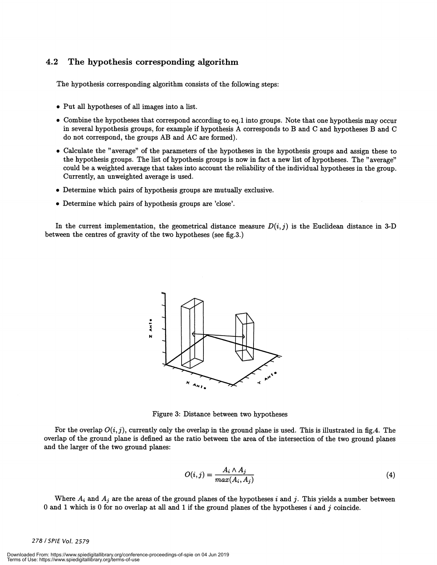#### 4.2 The hypothesis corresponding algorithm

The hypothesis corresponding algorithm consists of the following steps:

- 
- Put all hypotheses of all images into a list.<br>• Combine the hypotheses that correspond according to eq.1 into groups. Note that one hypothesis may occur in several hypothesis groups, for example if hypothesis A corresponds to B and C and hypotheses B and C do not correspond, the groups AB and AC are formed).
- Calculate the "average" of the parameters of the hypotheses in the hypothesis groups and assign these to the hypothesis groups. The list of hypothesis groups is now in fact a new list of hypotheses. The "average" could be a weighted average that takes into account the reliability of the individual hypotheses in the group. Currently, an unweighted average is used.
- . Determine which pairs of hypothesis groups are mutually exclusive.
- . Determine which pairs of hypothesis groups are 'close'.

In the current implementation, the geometrical distance measure  $D(i, j)$  is the Euclidean distance in 3-D between the centres of gravity of the two hypotheses (see fig.3.)



Figure 3: Distance between two hypotheses

For the overlap  $O(i, j)$ , currently only the overlap in the ground plane is used. This is illustrated in fig.4. The overlap of the ground plane is defined as the ratio between the area of the intersection of the two ground planes and the larger of the two ground planes:

$$
O(i,j) = \frac{A_i \wedge A_j}{max(A_i, A_j)}
$$
(4)

Where  $A_i$  and  $A_j$  are the areas of the ground planes of the hypotheses i and j. This yields a number between 0 and 1 which is 0 for no overlap at all and 1 if the ground planes of the hypotheses i and j coincide.

#### 278 / SPIE Vol. 2579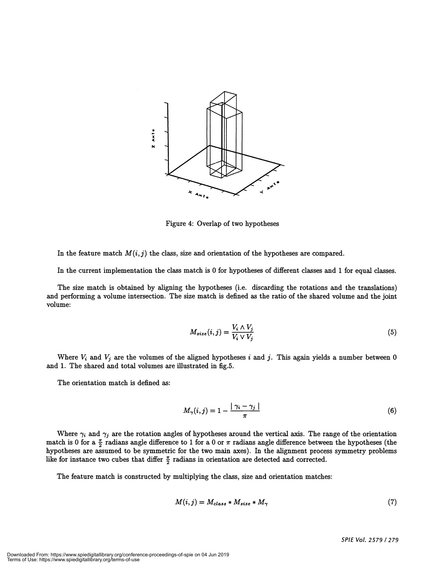

Figure 4: Overlap of two hypotheses

In the feature match  $M(i, j)$  the class, size and orientation of the hypotheses are compared.

In the current implementation the class match is 0 for hypotheses of different classes and 1 for equal classes.

The size match is obtained by aligning the hypotheses (i.e. discarding the rotations and the translations) and performing a volume intersection. The size match is defined as the ratio of the shared volume and the joint volume:

$$
M_{size}(i,j) = \frac{V_i \wedge V_j}{V_i \vee V_j} \tag{5}
$$

Where  $V_i$  and  $V_j$  are the volumes of the aligned hypotheses i and j. This again yields a number between 0 and 1. The shared and total volumes are illustrated in fig.5.

The orientation match is defined as:

$$
M_{\gamma}(i,j) = 1 - \frac{|\gamma_i - \gamma_j|}{\pi} \tag{6}
$$

Where  $\gamma_i$  and  $\gamma_j$  are the rotation angles of hypotheses around the vertical axis. The range of the orientation match is 0 for a  $\frac{\pi}{2}$  radians angle difference to 1 for a 0 or  $\pi$  radians angle difference between the hypotheses (the hypotheses are assumed to be symmetric for the two main axes). In the alignment process symmetry problems like for instance two cubes that differ  $\frac{\pi}{2}$  radians in orientation are detected and corrected.

The feature match is constructed by multiplying the class, size and orientation matches:

$$
M(i,j) = M_{class} * M_{size} * M_{\gamma}
$$
\n<sup>(7)</sup>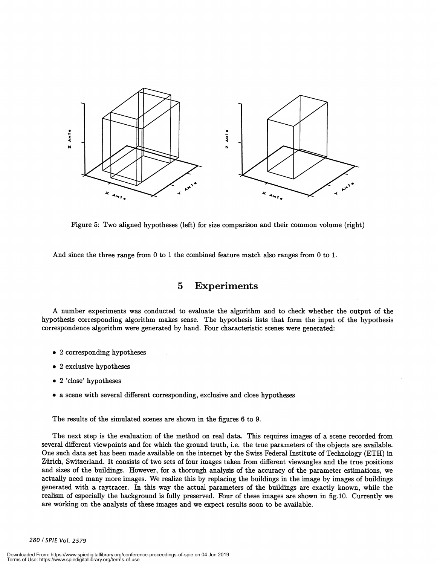

Figure 5: Two aligned hypotheses (left) for size comparison and their common volume (right)

And since the three range from 0 to 1 the combined feature match also ranges from 0 to 1.

## 5 Experiments

A number experiments was conducted to evaluate the algorithm and to check whether the output of the hypothesis corresponding algorithm makes sense. The hypothesis lists that form the input of the hypothesis correspondence algorithm were generated by hand. Four characteristic scenes were generated:

- 
- 
- 
- . 2 corresponding hypotheses<br>
. 2 exclusive hypotheses<br>
. 2 'close' hypotheses<br>
. a scene with several different corresponding, exclusive and close hypotheses<br>
.

The results of the simulated scenes are shown in the figures 6 to 9.

The next step is the evaluation of the method on real data. This requires images of a scene recorded from several different viewpoints and for which the ground truth, i.e. the true parameters of the objects are available. One such data set has been made available on the internet by the Swiss Federal Institute of Technology (ETH) in Zurich, Switzerland. It consists of two sets of four images taken from different viewangles and the true positions and sizes of the buildings. However, for a thorough analysis of the accuracy of the parameter estimations, we actually need many more images. We realize this by replacing the buildings in the image by images of buildings generated with a raytracer. In this way the actual parameters of the buildings are exactly known, while the realism of especially the background is fully preserved. Four of these images are shown in fig.1O. Currently we are working on the analysis of these images and we expect results soon to be available.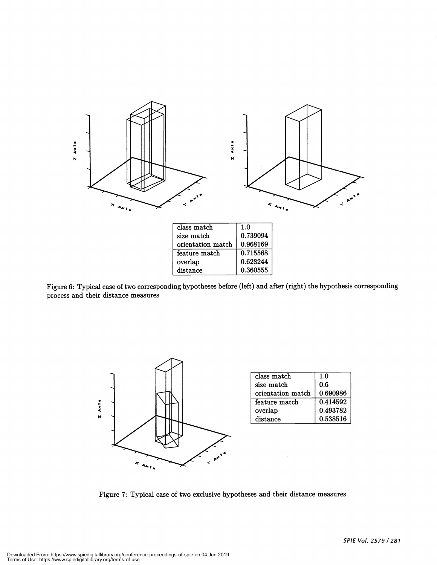

Figure 6: Typical case of two corresponding hypotheses before (left) and after (right) the hypothesis corresponding process and their distance measures

0.628244 0.360555



overlap distance

| class match       | 1.0      |
|-------------------|----------|
| size match        | 0.6      |
| orientation match | 0.690986 |
| feature match     | 0.414592 |
| overlap           | 0.493782 |
| distance          | 0.538516 |

Figure 7: Typical case of two exclusive hypotheses and their distance measures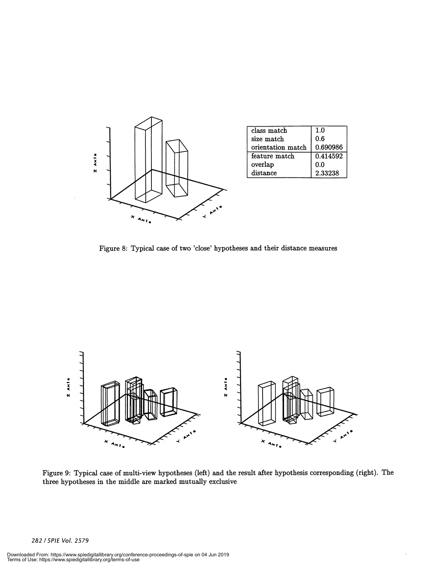

Figure 8: Typical case of two 'close' hypotheses and their distance measures



Figure 9: Typical case of multi-view hypotheses (left) and the result after hypothesis corresponding (right). The three hypotheses in the middle are marked mutually exclusive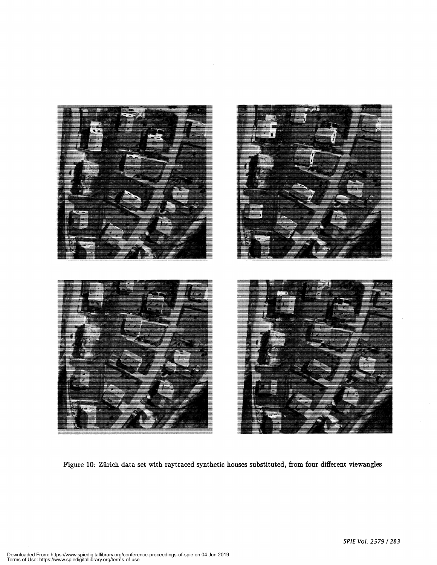

Figure 10: Zürich data set with raytraced synthetic houses substituted, from four different viewangles